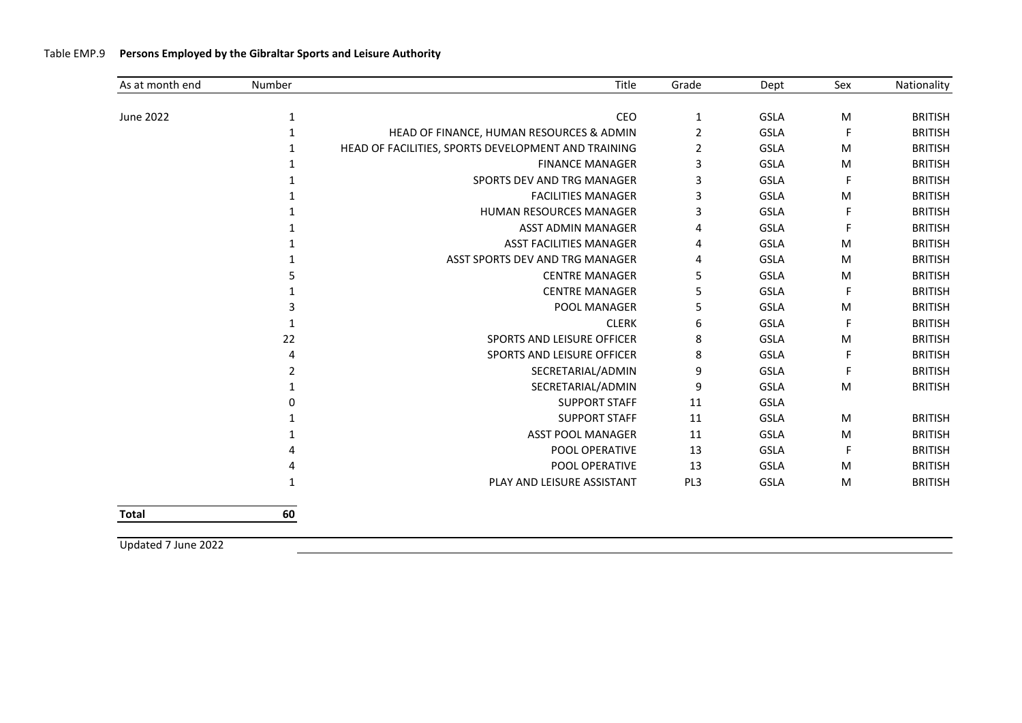| As at month end | Number       | Title                                               | Grade          | Dept        | Sex | Nationality    |
|-----------------|--------------|-----------------------------------------------------|----------------|-------------|-----|----------------|
| June 2022       | 1            | CEO                                                 | $\mathbf{1}$   | GSLA        | M   | <b>BRITISH</b> |
|                 | 1            | HEAD OF FINANCE, HUMAN RESOURCES & ADMIN            | 2              | GSLA        |     | <b>BRITISH</b> |
|                 | $\mathbf{1}$ | HEAD OF FACILITIES, SPORTS DEVELOPMENT AND TRAINING | $\overline{2}$ | GSLA        | M   | <b>BRITISH</b> |
|                 |              | <b>FINANCE MANAGER</b>                              | 3              | GSLA        | M   | <b>BRITISH</b> |
|                 |              | SPORTS DEV AND TRG MANAGER                          | 3              | <b>GSLA</b> |     | <b>BRITISH</b> |
|                 |              | <b>FACILITIES MANAGER</b>                           | 3              | GSLA        | M   | <b>BRITISH</b> |
|                 |              | <b>HUMAN RESOURCES MANAGER</b>                      | 3              | <b>GSLA</b> |     | <b>BRITISH</b> |
|                 |              | <b>ASST ADMIN MANAGER</b>                           | 4              | <b>GSLA</b> |     | <b>BRITISH</b> |
|                 |              | <b>ASST FACILITIES MANAGER</b>                      | 4              | GSLA        | M   | <b>BRITISH</b> |
|                 |              | ASST SPORTS DEV AND TRG MANAGER                     | 4              | GSLA        | M   | <b>BRITISH</b> |
|                 |              | <b>CENTRE MANAGER</b>                               | 5              | <b>GSLA</b> | M   | <b>BRITISH</b> |
|                 |              | <b>CENTRE MANAGER</b>                               | 5              | GSLA        |     | <b>BRITISH</b> |
|                 |              | POOL MANAGER                                        | 5              | GSLA        | M   | <b>BRITISH</b> |
|                 | 1            | <b>CLERK</b>                                        | 6              | <b>GSLA</b> |     | <b>BRITISH</b> |
|                 | 22           | SPORTS AND LEISURE OFFICER                          | 8              | GSLA        | М   | <b>BRITISH</b> |
|                 |              | SPORTS AND LEISURE OFFICER                          | 8              | GSLA        |     | <b>BRITISH</b> |
|                 | 2            | SECRETARIAL/ADMIN                                   | 9              | GSLA        |     | <b>BRITISH</b> |
|                 |              | SECRETARIAL/ADMIN                                   | 9              | GSLA        | M   | <b>BRITISH</b> |
|                 |              | <b>SUPPORT STAFF</b>                                | 11             | GSLA        |     |                |
|                 |              | <b>SUPPORT STAFF</b>                                | 11             | GSLA        | M   | <b>BRITISH</b> |
|                 |              | <b>ASST POOL MANAGER</b>                            | 11             | GSLA        | M   | <b>BRITISH</b> |
|                 |              | POOL OPERATIVE                                      | 13             | <b>GSLA</b> |     | <b>BRITISH</b> |
|                 |              | POOL OPERATIVE                                      | 13             | <b>GSLA</b> | М   | <b>BRITISH</b> |
|                 |              | PLAY AND LEISURE ASSISTANT                          | PL3            | <b>GSLA</b> | M   | <b>BRITISH</b> |
| <b>Total</b>    | 60           |                                                     |                |             |     |                |

Updated 7 June 2022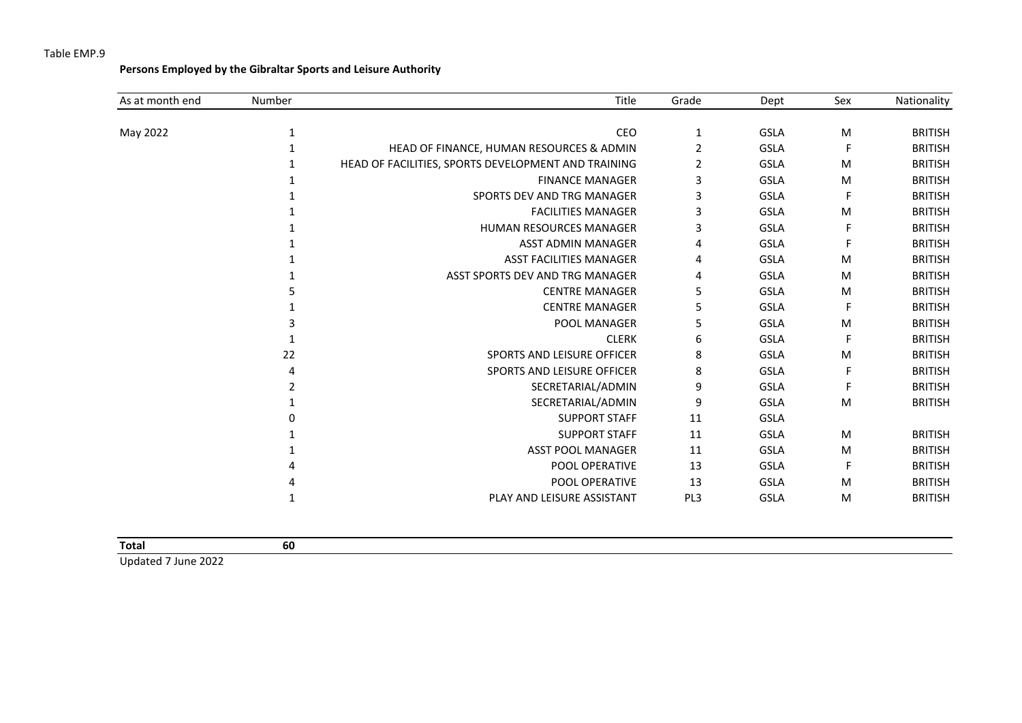**Persons Employed by the Gibraltar Sports and Leisure Authority**

| As at month end | Number | Title                                               | Grade | Dept        | Sex | Nationality    |
|-----------------|--------|-----------------------------------------------------|-------|-------------|-----|----------------|
| May 2022        | 1      | CEO                                                 | 1     | <b>GSLA</b> | M   | <b>BRITISH</b> |
|                 |        |                                                     |       |             | F   |                |
|                 |        | HEAD OF FINANCE, HUMAN RESOURCES & ADMIN            | 2     | <b>GSLA</b> |     | <b>BRITISH</b> |
|                 |        | HEAD OF FACILITIES, SPORTS DEVELOPMENT AND TRAINING | 2     | <b>GSLA</b> | M   | <b>BRITISH</b> |
|                 |        | <b>FINANCE MANAGER</b>                              | 3     | <b>GSLA</b> | M   | <b>BRITISH</b> |
|                 |        | SPORTS DEV AND TRG MANAGER                          | 3     | <b>GSLA</b> | F   | <b>BRITISH</b> |
|                 |        | <b>FACILITIES MANAGER</b>                           | 3     | <b>GSLA</b> | M   | <b>BRITISH</b> |
|                 |        | HUMAN RESOURCES MANAGER                             | 3     | <b>GSLA</b> | F   | <b>BRITISH</b> |
|                 |        | <b>ASST ADMIN MANAGER</b>                           | 4     | <b>GSLA</b> |     | <b>BRITISH</b> |
|                 |        | <b>ASST FACILITIES MANAGER</b>                      | 4     | <b>GSLA</b> | M   | <b>BRITISH</b> |
|                 |        | ASST SPORTS DEV AND TRG MANAGER                     | 4     | <b>GSLA</b> | M   | <b>BRITISH</b> |
|                 |        | <b>CENTRE MANAGER</b>                               | 5     | <b>GSLA</b> | M   | <b>BRITISH</b> |
|                 |        | <b>CENTRE MANAGER</b>                               |       | <b>GSLA</b> | F   | <b>BRITISH</b> |
|                 |        | POOL MANAGER                                        | 5     | <b>GSLA</b> | M   | <b>BRITISH</b> |
|                 |        | <b>CLERK</b>                                        | 6     | <b>GSLA</b> | F   | <b>BRITISH</b> |
|                 | 22     | <b>SPORTS AND LEISURE OFFICER</b>                   | 8     | <b>GSLA</b> | M   | <b>BRITISH</b> |
|                 |        | SPORTS AND LEISURE OFFICER                          | 8     | <b>GSLA</b> | F   | <b>BRITISH</b> |
|                 | 2      | SECRETARIAL/ADMIN                                   | 9     | <b>GSLA</b> | F   | <b>BRITISH</b> |
|                 |        | SECRETARIAL/ADMIN                                   | 9     | <b>GSLA</b> | M   | <b>BRITISH</b> |
|                 |        | <b>SUPPORT STAFF</b>                                | 11    | <b>GSLA</b> |     |                |
|                 |        | <b>SUPPORT STAFF</b>                                | 11    | <b>GSLA</b> | M   | <b>BRITISH</b> |
|                 |        | <b>ASST POOL MANAGER</b>                            | 11    | <b>GSLA</b> | M   | <b>BRITISH</b> |
|                 |        | POOL OPERATIVE                                      | 13    | <b>GSLA</b> | F   | <b>BRITISH</b> |
|                 |        | POOL OPERATIVE                                      | 13    | <b>GSLA</b> | M   | <b>BRITISH</b> |
|                 |        | PLAY AND LEISURE ASSISTANT                          | PL3   | <b>GSLA</b> | M   | <b>BRITISH</b> |
|                 |        |                                                     |       |             |     |                |

| Total          | -60 |  |
|----------------|-----|--|
| 11.11.171.0000 |     |  |

Updated 7 June 2022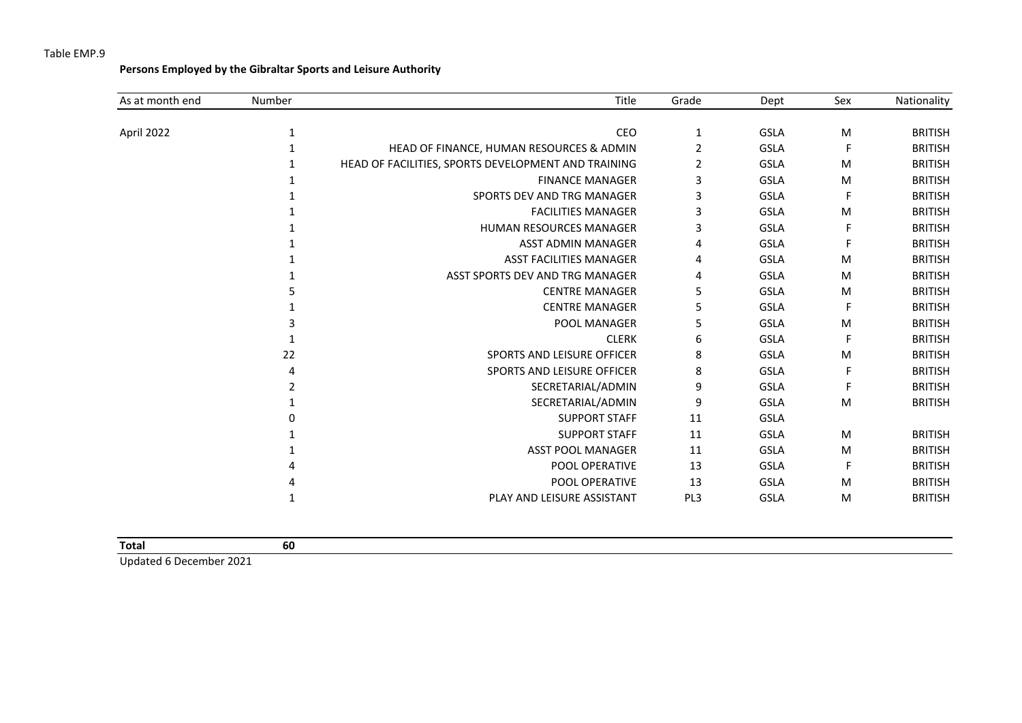**Persons Employed by the Gibraltar Sports and Leisure Authority**

| As at month end | Number | Title                                               | Grade | Dept        | Sex       | Nationality    |
|-----------------|--------|-----------------------------------------------------|-------|-------------|-----------|----------------|
| April 2022      | 1      | CEO                                                 | 1     | <b>GSLA</b> | ${\sf M}$ | <b>BRITISH</b> |
|                 |        | HEAD OF FINANCE, HUMAN RESOURCES & ADMIN            | 2     | <b>GSLA</b> | F         | <b>BRITISH</b> |
|                 |        |                                                     |       |             |           |                |
|                 |        | HEAD OF FACILITIES, SPORTS DEVELOPMENT AND TRAINING | 2     | <b>GSLA</b> | M         | <b>BRITISH</b> |
|                 |        | <b>FINANCE MANAGER</b>                              | 3     | <b>GSLA</b> | M         | <b>BRITISH</b> |
|                 |        | SPORTS DEV AND TRG MANAGER                          | 3     | <b>GSLA</b> | F         | <b>BRITISH</b> |
|                 |        | <b>FACILITIES MANAGER</b>                           | 3     | <b>GSLA</b> | M         | <b>BRITISH</b> |
|                 |        | <b>HUMAN RESOURCES MANAGER</b>                      | 3     | <b>GSLA</b> | F         | <b>BRITISH</b> |
|                 |        | <b>ASST ADMIN MANAGER</b>                           | 4     | <b>GSLA</b> |           | <b>BRITISH</b> |
|                 |        | <b>ASST FACILITIES MANAGER</b>                      | 4     | <b>GSLA</b> | M         | <b>BRITISH</b> |
|                 |        | ASST SPORTS DEV AND TRG MANAGER                     | 4     | <b>GSLA</b> | M         | <b>BRITISH</b> |
|                 |        | <b>CENTRE MANAGER</b>                               | 5     | <b>GSLA</b> | M         | <b>BRITISH</b> |
|                 |        | <b>CENTRE MANAGER</b>                               | 5     | <b>GSLA</b> | F         | <b>BRITISH</b> |
|                 |        | POOL MANAGER                                        | 5     | <b>GSLA</b> | M         | <b>BRITISH</b> |
|                 |        | <b>CLERK</b>                                        | 6     | <b>GSLA</b> | F         | <b>BRITISH</b> |
|                 | 22     | <b>SPORTS AND LEISURE OFFICER</b>                   | 8     | <b>GSLA</b> | M         | <b>BRITISH</b> |
|                 | 4      | SPORTS AND LEISURE OFFICER                          | 8     | <b>GSLA</b> | F         | <b>BRITISH</b> |
|                 | 2      | SECRETARIAL/ADMIN                                   | 9     | <b>GSLA</b> |           | <b>BRITISH</b> |
|                 |        | SECRETARIAL/ADMIN                                   | 9     | <b>GSLA</b> | M         | <b>BRITISH</b> |
|                 |        | <b>SUPPORT STAFF</b>                                | 11    | <b>GSLA</b> |           |                |
|                 |        | <b>SUPPORT STAFF</b>                                | 11    | <b>GSLA</b> | M         | <b>BRITISH</b> |
|                 |        | <b>ASST POOL MANAGER</b>                            | 11    | <b>GSLA</b> | M         | <b>BRITISH</b> |
|                 |        | POOL OPERATIVE                                      | 13    | <b>GSLA</b> | F         | <b>BRITISH</b> |
|                 |        | POOL OPERATIVE                                      | 13    | <b>GSLA</b> | M         | <b>BRITISH</b> |
|                 |        | PLAY AND LEISURE ASSISTANT                          | PL3   | <b>GSLA</b> | M         | <b>BRITISH</b> |
|                 |        |                                                     |       |             |           |                |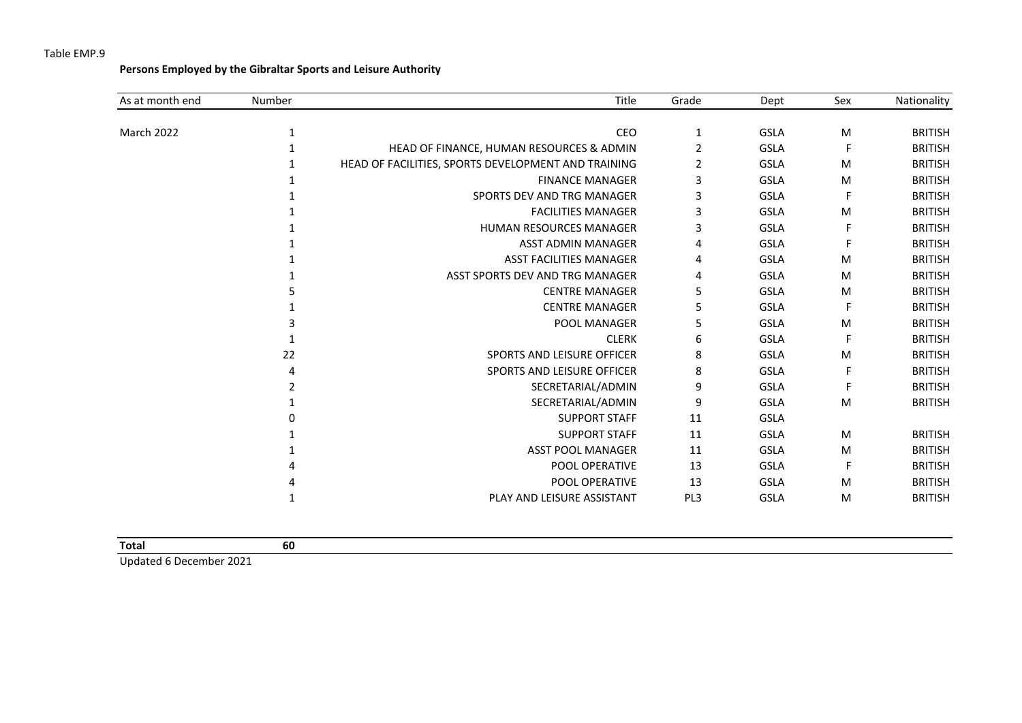**Persons Employed by the Gibraltar Sports and Leisure Authority**

| As at month end | Number | Title                                               | Grade | Dept        | Sex | Nationality    |
|-----------------|--------|-----------------------------------------------------|-------|-------------|-----|----------------|
|                 |        |                                                     |       |             |     |                |
| March 2022      | 1      | CEO                                                 | 1     | <b>GSLA</b> | M   | <b>BRITISH</b> |
|                 |        | HEAD OF FINANCE, HUMAN RESOURCES & ADMIN            | 2     | <b>GSLA</b> | F   | <b>BRITISH</b> |
|                 |        | HEAD OF FACILITIES, SPORTS DEVELOPMENT AND TRAINING | 2     | <b>GSLA</b> | M   | <b>BRITISH</b> |
|                 |        | <b>FINANCE MANAGER</b>                              | 3     | <b>GSLA</b> | M   | <b>BRITISH</b> |
|                 |        | SPORTS DEV AND TRG MANAGER                          | 3     | GSLA        | F   | <b>BRITISH</b> |
|                 |        | <b>FACILITIES MANAGER</b>                           | 3     | GSLA        | M   | <b>BRITISH</b> |
|                 |        | <b>HUMAN RESOURCES MANAGER</b>                      | 3     | <b>GSLA</b> | F   | <b>BRITISH</b> |
|                 |        | <b>ASST ADMIN MANAGER</b>                           | 4     | <b>GSLA</b> |     | <b>BRITISH</b> |
|                 |        | <b>ASST FACILITIES MANAGER</b>                      | 4     | <b>GSLA</b> | M   | <b>BRITISH</b> |
|                 |        | ASST SPORTS DEV AND TRG MANAGER                     | 4     | <b>GSLA</b> | M   | <b>BRITISH</b> |
|                 |        | <b>CENTRE MANAGER</b>                               | 5     | <b>GSLA</b> | M   | <b>BRITISH</b> |
|                 |        | <b>CENTRE MANAGER</b>                               | 5     | GSLA        | F   | <b>BRITISH</b> |
|                 |        | POOL MANAGER                                        | 5     | GSLA        | M   | <b>BRITISH</b> |
|                 |        | <b>CLERK</b>                                        | 6     | <b>GSLA</b> | F   | <b>BRITISH</b> |
|                 | 22     | SPORTS AND LEISURE OFFICER                          | 8     | <b>GSLA</b> | M   | <b>BRITISH</b> |
|                 | 4      | SPORTS AND LEISURE OFFICER                          | 8     | <b>GSLA</b> | F   | <b>BRITISH</b> |
|                 |        | SECRETARIAL/ADMIN                                   | 9     | <b>GSLA</b> | F   | <b>BRITISH</b> |
|                 |        | SECRETARIAL/ADMIN                                   | 9     | GSLA        | M   | <b>BRITISH</b> |
|                 |        | <b>SUPPORT STAFF</b>                                | 11    | <b>GSLA</b> |     |                |
|                 |        | <b>SUPPORT STAFF</b>                                | 11    | <b>GSLA</b> | M   | <b>BRITISH</b> |
|                 |        | <b>ASST POOL MANAGER</b>                            | 11    | <b>GSLA</b> | M   | <b>BRITISH</b> |
|                 |        | POOL OPERATIVE                                      | 13    | <b>GSLA</b> | F.  | <b>BRITISH</b> |
|                 |        | POOL OPERATIVE                                      | 13    | <b>GSLA</b> | M   | <b>BRITISH</b> |
|                 |        | PLAY AND LEISURE ASSISTANT                          | PL3   | <b>GSLA</b> | M   | <b>BRITISH</b> |

| Total                                                                                                                                                                                                                                                                                                                              | 60 |
|------------------------------------------------------------------------------------------------------------------------------------------------------------------------------------------------------------------------------------------------------------------------------------------------------------------------------------|----|
| $\mathbf{u}$ $\mathbf{v}$ $\mathbf{v}$ $\mathbf{v}$ $\mathbf{v}$ $\mathbf{v}$ $\mathbf{v}$ $\mathbf{v}$ $\mathbf{v}$ $\mathbf{v}$ $\mathbf{v}$ $\mathbf{v}$ $\mathbf{v}$ $\mathbf{v}$ $\mathbf{v}$ $\mathbf{v}$ $\mathbf{v}$ $\mathbf{v}$ $\mathbf{v}$ $\mathbf{v}$ $\mathbf{v}$ $\mathbf{v}$ $\mathbf{v}$ $\mathbf{v}$ $\mathbf{$ |    |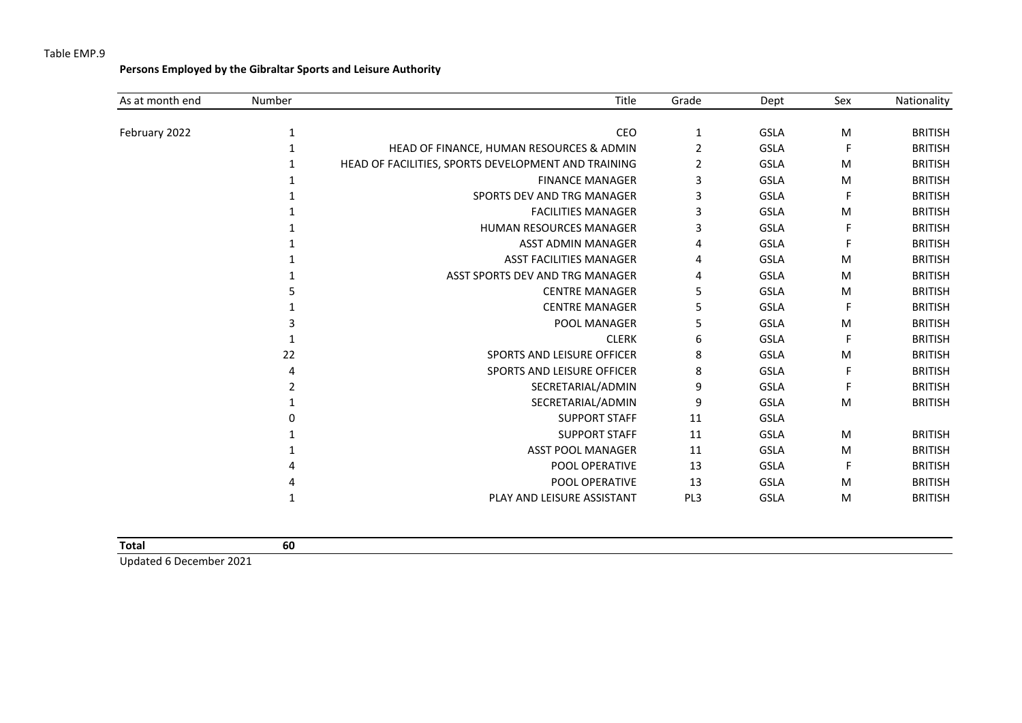**Persons Employed by the Gibraltar Sports and Leisure Authority**

| As at month end | Number | Title                                               | Grade | Dept        | Sex       | Nationality    |
|-----------------|--------|-----------------------------------------------------|-------|-------------|-----------|----------------|
|                 |        |                                                     |       |             |           |                |
| February 2022   | 1      | CEO                                                 | 1     | <b>GSLA</b> | M         | <b>BRITISH</b> |
|                 |        | HEAD OF FINANCE, HUMAN RESOURCES & ADMIN            | 2     | <b>GSLA</b> | F         | <b>BRITISH</b> |
|                 |        | HEAD OF FACILITIES, SPORTS DEVELOPMENT AND TRAINING | 2     | <b>GSLA</b> | M         | <b>BRITISH</b> |
|                 |        | <b>FINANCE MANAGER</b>                              | 3     | <b>GSLA</b> | M         | <b>BRITISH</b> |
|                 |        | SPORTS DEV AND TRG MANAGER                          | 3     | <b>GSLA</b> | F         | <b>BRITISH</b> |
|                 |        | <b>FACILITIES MANAGER</b>                           | 3     | <b>GSLA</b> | M         | <b>BRITISH</b> |
|                 |        | <b>HUMAN RESOURCES MANAGER</b>                      | 3     | <b>GSLA</b> | F         | <b>BRITISH</b> |
|                 |        | ASST ADMIN MANAGER                                  | 4     | <b>GSLA</b> | F         | <b>BRITISH</b> |
|                 |        | <b>ASST FACILITIES MANAGER</b>                      | 4     | <b>GSLA</b> | M         | <b>BRITISH</b> |
|                 |        | ASST SPORTS DEV AND TRG MANAGER                     | 4     | <b>GSLA</b> | M         | <b>BRITISH</b> |
|                 |        | <b>CENTRE MANAGER</b>                               | 5     | <b>GSLA</b> | M         | <b>BRITISH</b> |
|                 |        | <b>CENTRE MANAGER</b>                               | 5     | <b>GSLA</b> | F         | <b>BRITISH</b> |
|                 |        | POOL MANAGER                                        | 5     | GSLA        | M         | <b>BRITISH</b> |
|                 |        | <b>CLERK</b>                                        | 6     | <b>GSLA</b> | F         | <b>BRITISH</b> |
|                 | 22     | SPORTS AND LEISURE OFFICER                          | 8     | <b>GSLA</b> | M         | <b>BRITISH</b> |
|                 |        | <b>SPORTS AND LEISURE OFFICER</b>                   | 8     | <b>GSLA</b> | F         | <b>BRITISH</b> |
|                 |        | SECRETARIAL/ADMIN                                   | 9     | <b>GSLA</b> | F         | <b>BRITISH</b> |
|                 |        | SECRETARIAL/ADMIN                                   | 9     | <b>GSLA</b> | ${\sf M}$ | <b>BRITISH</b> |
|                 |        | <b>SUPPORT STAFF</b>                                | 11    | <b>GSLA</b> |           |                |
|                 |        | <b>SUPPORT STAFF</b>                                | 11    | <b>GSLA</b> | M         | <b>BRITISH</b> |
|                 |        | <b>ASST POOL MANAGER</b>                            | 11    | <b>GSLA</b> | M         | <b>BRITISH</b> |
|                 |        | POOL OPERATIVE                                      | 13    | <b>GSLA</b> | F         | <b>BRITISH</b> |
|                 |        | POOL OPERATIVE                                      | 13    | <b>GSLA</b> | M         | <b>BRITISH</b> |
|                 |        | PLAY AND LEISURE ASSISTANT                          | PL3   | <b>GSLA</b> | M         | <b>BRITISH</b> |

| Total                     |                      | 60 |  |  |  |  |  |  |  |
|---------------------------|----------------------|----|--|--|--|--|--|--|--|
| $\sim$ $\sim$ $\sim$<br>. | $\sim$ $\sim$ $\sim$ |    |  |  |  |  |  |  |  |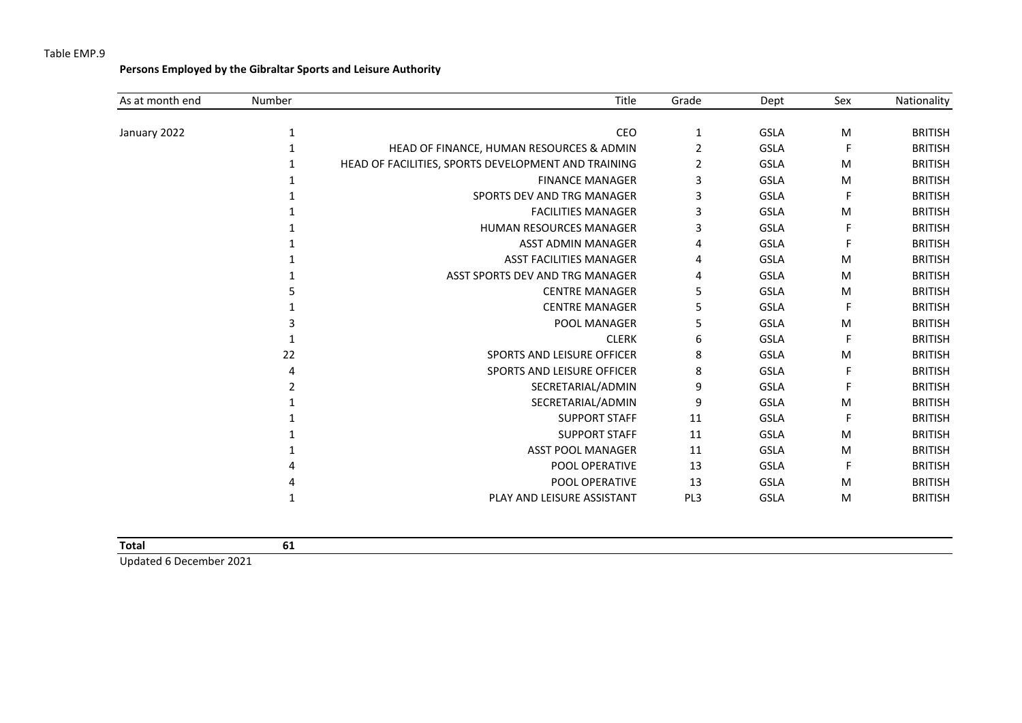**Persons Employed by the Gibraltar Sports and Leisure Authority**

| As at month end | Number | Title                                               | Grade | Dept        | Sex | Nationality    |
|-----------------|--------|-----------------------------------------------------|-------|-------------|-----|----------------|
| January 2022    |        | CEO                                                 | 1     | <b>GSLA</b> | M   | <b>BRITISH</b> |
|                 |        | HEAD OF FINANCE, HUMAN RESOURCES & ADMIN            | 2     | <b>GSLA</b> | F   | <b>BRITISH</b> |
|                 |        | HEAD OF FACILITIES, SPORTS DEVELOPMENT AND TRAINING | 2     | <b>GSLA</b> | M   | <b>BRITISH</b> |
|                 |        | <b>FINANCE MANAGER</b>                              | 3     | <b>GSLA</b> | M   | <b>BRITISH</b> |
|                 |        | SPORTS DEV AND TRG MANAGER                          | 3     | <b>GSLA</b> | F   | <b>BRITISH</b> |
|                 |        | <b>FACILITIES MANAGER</b>                           | 3     | <b>GSLA</b> | M   | <b>BRITISH</b> |
|                 |        | HUMAN RESOURCES MANAGER                             | 3     | <b>GSLA</b> | F   | <b>BRITISH</b> |
|                 |        | <b>ASST ADMIN MANAGER</b>                           | 4     | <b>GSLA</b> |     | <b>BRITISH</b> |
|                 |        | <b>ASST FACILITIES MANAGER</b>                      | 4     | <b>GSLA</b> | M   | <b>BRITISH</b> |
|                 |        | ASST SPORTS DEV AND TRG MANAGER                     | 4     | <b>GSLA</b> | M   | <b>BRITISH</b> |
|                 |        | <b>CENTRE MANAGER</b>                               | 5     | <b>GSLA</b> | M   | <b>BRITISH</b> |
|                 |        | <b>CENTRE MANAGER</b>                               | 5     | <b>GSLA</b> | F   | <b>BRITISH</b> |
|                 |        | POOL MANAGER                                        | 5     | <b>GSLA</b> | M   | <b>BRITISH</b> |
|                 |        | <b>CLERK</b>                                        | 6     | <b>GSLA</b> | F   | <b>BRITISH</b> |
|                 | 22     | SPORTS AND LEISURE OFFICER                          | 8     | <b>GSLA</b> | M   | <b>BRITISH</b> |
|                 |        | SPORTS AND LEISURE OFFICER                          | 8     | <b>GSLA</b> | F   | <b>BRITISH</b> |
|                 |        | SECRETARIAL/ADMIN                                   | 9     | <b>GSLA</b> | F   | <b>BRITISH</b> |
|                 |        | SECRETARIAL/ADMIN                                   | 9     | <b>GSLA</b> | M   | <b>BRITISH</b> |
|                 |        | <b>SUPPORT STAFF</b>                                | 11    | <b>GSLA</b> | F   | <b>BRITISH</b> |
|                 |        | <b>SUPPORT STAFF</b>                                | 11    | <b>GSLA</b> | M   | <b>BRITISH</b> |
|                 |        | <b>ASST POOL MANAGER</b>                            | 11    | <b>GSLA</b> | M   | <b>BRITISH</b> |
|                 |        | POOL OPERATIVE                                      | 13    | <b>GSLA</b> | F   | <b>BRITISH</b> |
|                 |        | POOL OPERATIVE                                      | 13    | <b>GSLA</b> | M   | <b>BRITISH</b> |
|                 |        | PLAY AND LEISURE ASSISTANT                          | PL3   | <b>GSLA</b> | M   | <b>BRITISH</b> |

| <b>Total</b> |  |
|--------------|--|
|              |  |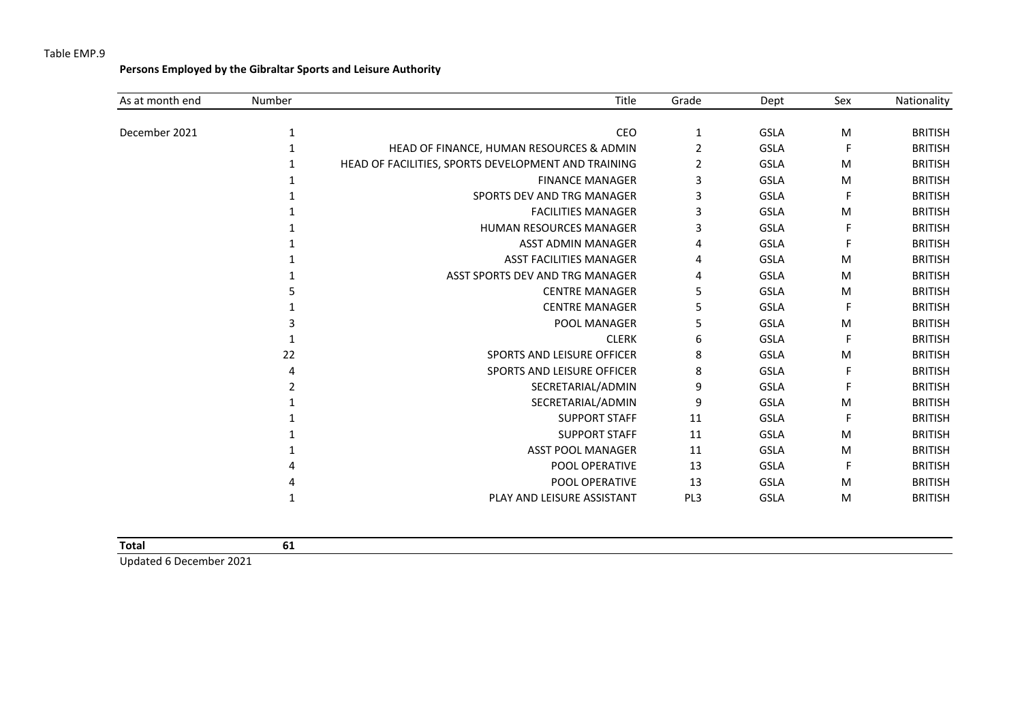**Persons Employed by the Gibraltar Sports and Leisure Authority**

| As at month end | Number | Title                                               | Grade | Dept        | Sex | Nationality    |
|-----------------|--------|-----------------------------------------------------|-------|-------------|-----|----------------|
| December 2021   | 1      | CEO                                                 | 1     | <b>GSLA</b> | M   | <b>BRITISH</b> |
|                 |        | HEAD OF FINANCE, HUMAN RESOURCES & ADMIN            | 2     | <b>GSLA</b> | F   | <b>BRITISH</b> |
|                 |        | HEAD OF FACILITIES, SPORTS DEVELOPMENT AND TRAINING | 2     | <b>GSLA</b> | M   | <b>BRITISH</b> |
|                 |        | <b>FINANCE MANAGER</b>                              | 3     | <b>GSLA</b> | M   | <b>BRITISH</b> |
|                 |        |                                                     |       |             |     |                |
|                 |        | SPORTS DEV AND TRG MANAGER                          | 3     | <b>GSLA</b> | F   | <b>BRITISH</b> |
|                 |        | <b>FACILITIES MANAGER</b>                           | 3     | <b>GSLA</b> | M   | <b>BRITISH</b> |
|                 |        | <b>HUMAN RESOURCES MANAGER</b>                      | 3     | <b>GSLA</b> | F   | <b>BRITISH</b> |
|                 |        | <b>ASST ADMIN MANAGER</b>                           | 4     | <b>GSLA</b> |     | <b>BRITISH</b> |
|                 |        | <b>ASST FACILITIES MANAGER</b>                      | 4     | <b>GSLA</b> | M   | <b>BRITISH</b> |
|                 |        | ASST SPORTS DEV AND TRG MANAGER                     | 4     | <b>GSLA</b> | M   | <b>BRITISH</b> |
|                 |        | <b>CENTRE MANAGER</b>                               | 5     | <b>GSLA</b> | M   | <b>BRITISH</b> |
|                 |        | <b>CENTRE MANAGER</b>                               | 5     | <b>GSLA</b> | F   | <b>BRITISH</b> |
|                 |        | POOL MANAGER                                        | 5     | <b>GSLA</b> | M   | <b>BRITISH</b> |
|                 |        | <b>CLERK</b>                                        | 6     | <b>GSLA</b> | F   | <b>BRITISH</b> |
|                 | 22     | SPORTS AND LEISURE OFFICER                          | 8     | <b>GSLA</b> | М   | <b>BRITISH</b> |
|                 |        | SPORTS AND LEISURE OFFICER                          | 8     | <b>GSLA</b> | F   | <b>BRITISH</b> |
|                 |        | SECRETARIAL/ADMIN                                   | 9     | <b>GSLA</b> | F   | <b>BRITISH</b> |
|                 |        | SECRETARIAL/ADMIN                                   | 9     | <b>GSLA</b> | M   | <b>BRITISH</b> |
|                 |        | <b>SUPPORT STAFF</b>                                | 11    | <b>GSLA</b> | F   | <b>BRITISH</b> |
|                 |        | <b>SUPPORT STAFF</b>                                | 11    | <b>GSLA</b> | M   | <b>BRITISH</b> |
|                 |        | <b>ASST POOL MANAGER</b>                            | 11    | <b>GSLA</b> | M   | <b>BRITISH</b> |
|                 |        | POOL OPERATIVE                                      | 13    | <b>GSLA</b> | F   | <b>BRITISH</b> |
|                 |        | POOL OPERATIVE                                      | 13    | <b>GSLA</b> | M   | <b>BRITISH</b> |
|                 |        | PLAY AND LEISURE ASSISTANT                          | PL3   | <b>GSLA</b> | M   | <b>BRITISH</b> |
|                 |        |                                                     |       |             |     |                |

| <b>Total</b> |  |  |
|--------------|--|--|
|              |  |  |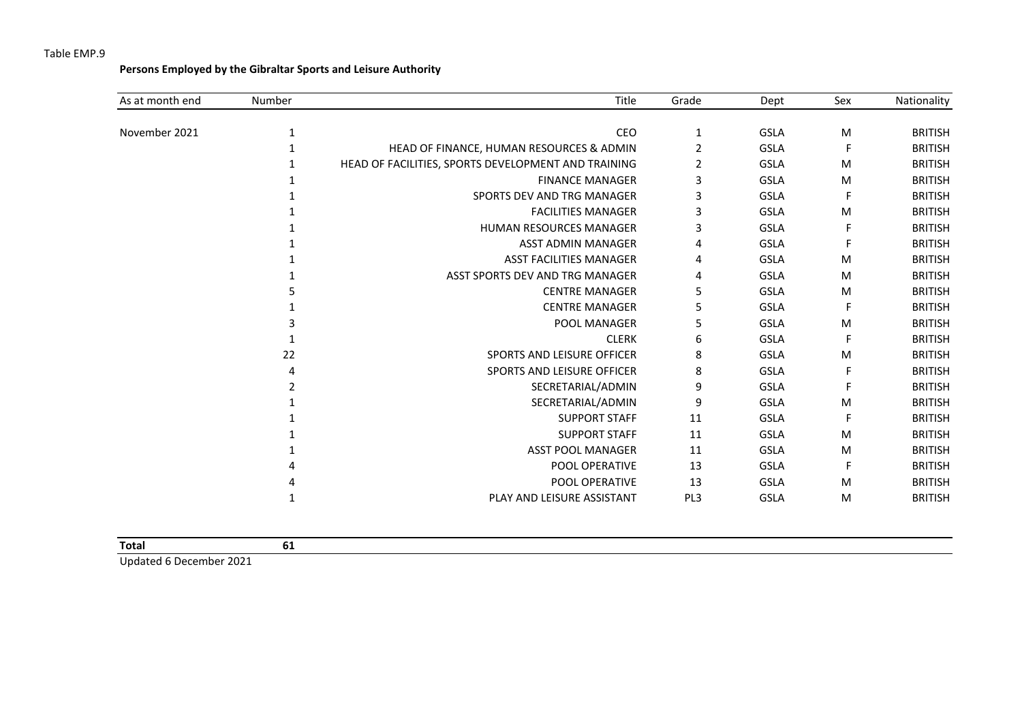**Persons Employed by the Gibraltar Sports and Leisure Authority**

| As at month end | Number | Title                                               | Grade | Dept        | Sex | Nationality    |
|-----------------|--------|-----------------------------------------------------|-------|-------------|-----|----------------|
| November 2021   | 1      | CEO                                                 | 1     | <b>GSLA</b> | M   | <b>BRITISH</b> |
|                 |        | HEAD OF FINANCE, HUMAN RESOURCES & ADMIN            | 2     | <b>GSLA</b> | F   | <b>BRITISH</b> |
|                 |        | HEAD OF FACILITIES, SPORTS DEVELOPMENT AND TRAINING | 2     | <b>GSLA</b> | M   | <b>BRITISH</b> |
|                 |        | <b>FINANCE MANAGER</b>                              | 3     | <b>GSLA</b> | M   | <b>BRITISH</b> |
|                 |        | SPORTS DEV AND TRG MANAGER                          | 3     | <b>GSLA</b> | F   | <b>BRITISH</b> |
|                 |        | <b>FACILITIES MANAGER</b>                           | 3     | <b>GSLA</b> | M   | <b>BRITISH</b> |
|                 |        | <b>HUMAN RESOURCES MANAGER</b>                      | 3     | <b>GSLA</b> | F   | <b>BRITISH</b> |
|                 |        | <b>ASST ADMIN MANAGER</b>                           | 4     | <b>GSLA</b> | F   | <b>BRITISH</b> |
|                 |        | <b>ASST FACILITIES MANAGER</b>                      | 4     | <b>GSLA</b> | M   | <b>BRITISH</b> |
|                 |        | ASST SPORTS DEV AND TRG MANAGER                     | 4     | <b>GSLA</b> | M   | <b>BRITISH</b> |
|                 |        | <b>CENTRE MANAGER</b>                               | 5     | <b>GSLA</b> | M   | <b>BRITISH</b> |
|                 |        | <b>CENTRE MANAGER</b>                               | 5     | <b>GSLA</b> | F   | <b>BRITISH</b> |
|                 |        | POOL MANAGER                                        | 5     | <b>GSLA</b> | M   | <b>BRITISH</b> |
|                 |        | <b>CLERK</b>                                        | 6     | GSLA        | F   | <b>BRITISH</b> |
|                 | 22     | SPORTS AND LEISURE OFFICER                          | 8     | <b>GSLA</b> | M   | <b>BRITISH</b> |
|                 |        | SPORTS AND LEISURE OFFICER                          | 8     | GSLA        | F   | <b>BRITISH</b> |
|                 |        | SECRETARIAL/ADMIN                                   | 9     | <b>GSLA</b> | F   | <b>BRITISH</b> |
|                 |        | SECRETARIAL/ADMIN                                   | 9     | GSLA        | M   | <b>BRITISH</b> |
|                 |        | <b>SUPPORT STAFF</b>                                | 11    | <b>GSLA</b> | F   | <b>BRITISH</b> |
|                 |        | <b>SUPPORT STAFF</b>                                | 11    | <b>GSLA</b> | M   | <b>BRITISH</b> |
|                 |        | <b>ASST POOL MANAGER</b>                            | 11    | <b>GSLA</b> | M   | <b>BRITISH</b> |
|                 |        | POOL OPERATIVE                                      | 13    | <b>GSLA</b> | F   | <b>BRITISH</b> |
|                 |        | POOL OPERATIVE                                      | 13    | <b>GSLA</b> | M   | <b>BRITISH</b> |
|                 |        | PLAY AND LEISURE ASSISTANT                          | PL3   | <b>GSLA</b> | M   | <b>BRITISH</b> |

| Total  |           | ັ |  |
|--------|-----------|---|--|
| .<br>. | $- - - -$ |   |  |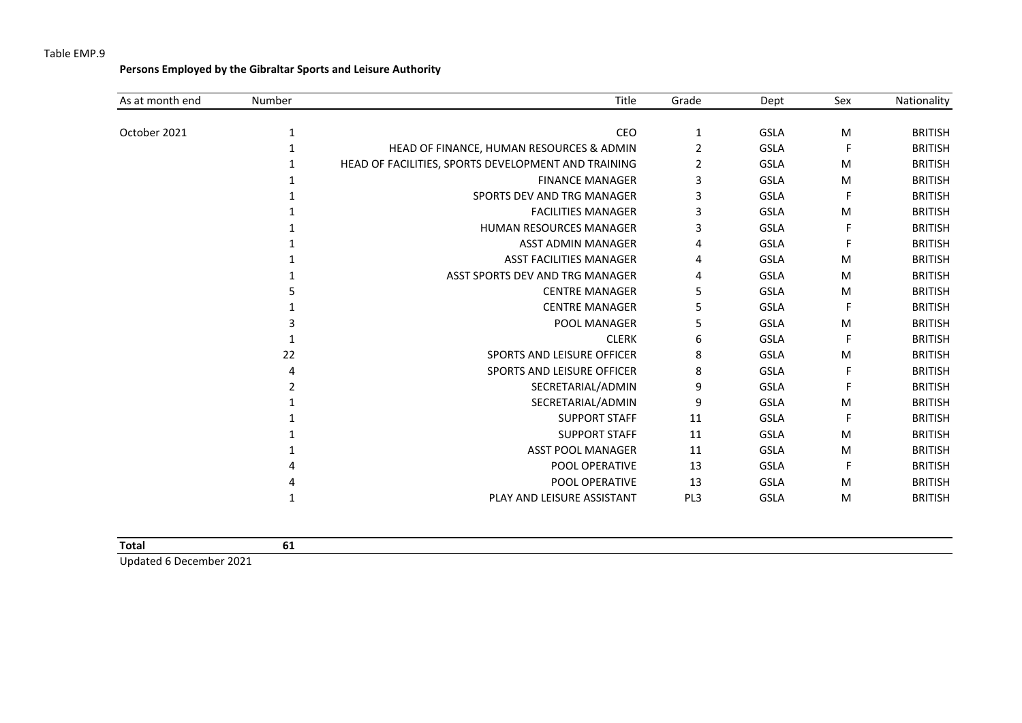**Persons Employed by the Gibraltar Sports and Leisure Authority**

| As at month end | Number | Title                                               | Grade | Dept        | Sex | Nationality    |
|-----------------|--------|-----------------------------------------------------|-------|-------------|-----|----------------|
| October 2021    |        | CEO                                                 | 1     | <b>GSLA</b> | M   | <b>BRITISH</b> |
|                 |        | HEAD OF FINANCE, HUMAN RESOURCES & ADMIN            | 2     | <b>GSLA</b> | F   | <b>BRITISH</b> |
|                 |        | HEAD OF FACILITIES, SPORTS DEVELOPMENT AND TRAINING | 2     | <b>GSLA</b> | M   | <b>BRITISH</b> |
|                 |        | <b>FINANCE MANAGER</b>                              | 3     | <b>GSLA</b> | M   | <b>BRITISH</b> |
|                 |        | SPORTS DEV AND TRG MANAGER                          | 3     | <b>GSLA</b> | F   | <b>BRITISH</b> |
|                 |        | <b>FACILITIES MANAGER</b>                           | 3     | <b>GSLA</b> | M   | <b>BRITISH</b> |
|                 |        | <b>HUMAN RESOURCES MANAGER</b>                      | 3     | <b>GSLA</b> | F   | <b>BRITISH</b> |
|                 |        | <b>ASST ADMIN MANAGER</b>                           | 4     | <b>GSLA</b> |     | <b>BRITISH</b> |
|                 |        | <b>ASST FACILITIES MANAGER</b>                      | 4     | <b>GSLA</b> | M   | <b>BRITISH</b> |
|                 |        | ASST SPORTS DEV AND TRG MANAGER                     | 4     | <b>GSLA</b> | M   | <b>BRITISH</b> |
|                 |        | <b>CENTRE MANAGER</b>                               | 5     | <b>GSLA</b> | M   | <b>BRITISH</b> |
|                 |        | <b>CENTRE MANAGER</b>                               | 5     | <b>GSLA</b> | F   | <b>BRITISH</b> |
|                 |        | POOL MANAGER                                        | 5     | <b>GSLA</b> | M   | <b>BRITISH</b> |
|                 |        | <b>CLERK</b>                                        | 6     | <b>GSLA</b> | F   | <b>BRITISH</b> |
|                 | 22     | SPORTS AND LEISURE OFFICER                          | 8     | <b>GSLA</b> | M   | <b>BRITISH</b> |
|                 |        | <b>SPORTS AND LEISURE OFFICER</b>                   | 8     | <b>GSLA</b> | F   | <b>BRITISH</b> |
|                 |        | SECRETARIAL/ADMIN                                   | 9     | <b>GSLA</b> | F   | <b>BRITISH</b> |
|                 |        | SECRETARIAL/ADMIN                                   | 9     | <b>GSLA</b> | M   | <b>BRITISH</b> |
|                 |        | <b>SUPPORT STAFF</b>                                | 11    | <b>GSLA</b> | F   | <b>BRITISH</b> |
|                 |        | <b>SUPPORT STAFF</b>                                | 11    | <b>GSLA</b> | M   | <b>BRITISH</b> |
|                 |        | <b>ASST POOL MANAGER</b>                            | 11    | <b>GSLA</b> | M   | <b>BRITISH</b> |
|                 |        | POOL OPERATIVE                                      | 13    | <b>GSLA</b> | F   | <b>BRITISH</b> |
|                 |        | POOL OPERATIVE                                      | 13    | <b>GSLA</b> | M   | <b>BRITISH</b> |
|                 |        | PLAY AND LEISURE ASSISTANT                          | PL3   | <b>GSLA</b> | M   | <b>BRITISH</b> |

| Total | ◡ |  |  |
|-------|---|--|--|
|       |   |  |  |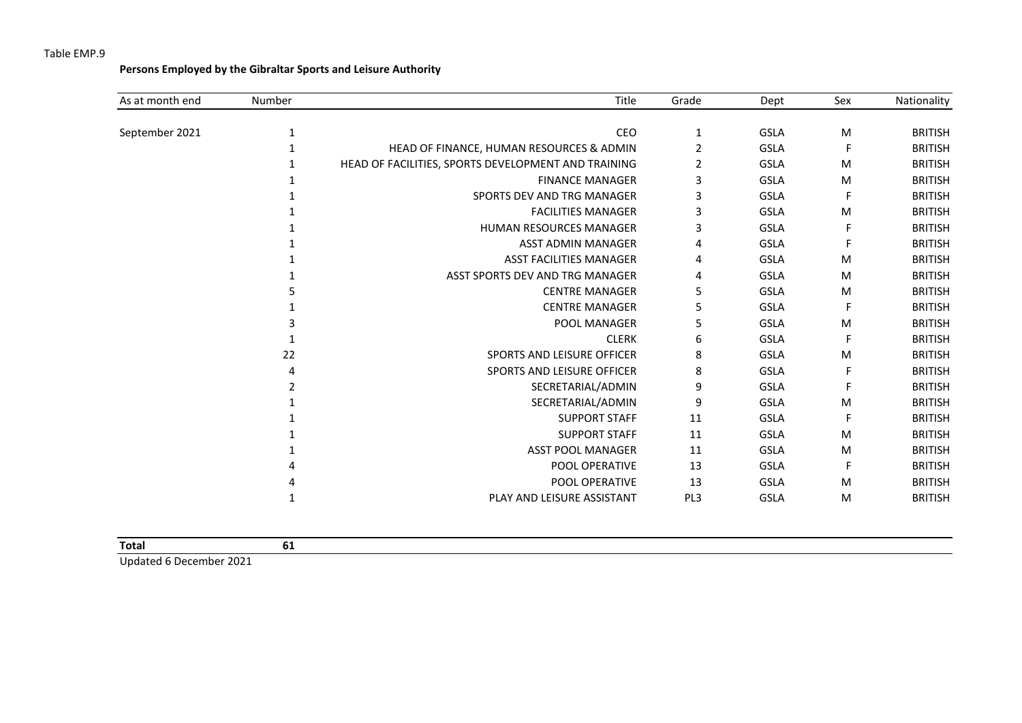**Persons Employed by the Gibraltar Sports and Leisure Authority**

| As at month end | Number | Title                                               | Grade | Dept        | Sex | Nationality    |
|-----------------|--------|-----------------------------------------------------|-------|-------------|-----|----------------|
| September 2021  | 1      | CEO                                                 | 1     | <b>GSLA</b> | M   | <b>BRITISH</b> |
|                 |        | HEAD OF FINANCE, HUMAN RESOURCES & ADMIN            | 2     | <b>GSLA</b> | F   | <b>BRITISH</b> |
|                 |        | HEAD OF FACILITIES, SPORTS DEVELOPMENT AND TRAINING | 2     | <b>GSLA</b> | M   | <b>BRITISH</b> |
|                 |        | <b>FINANCE MANAGER</b>                              | 3     | <b>GSLA</b> | M   | <b>BRITISH</b> |
|                 |        | SPORTS DEV AND TRG MANAGER                          | 3     | <b>GSLA</b> | F   | <b>BRITISH</b> |
|                 |        | <b>FACILITIES MANAGER</b>                           | 3     | <b>GSLA</b> | M   | <b>BRITISH</b> |
|                 |        | HUMAN RESOURCES MANAGER                             | 3     | <b>GSLA</b> | F   | <b>BRITISH</b> |
|                 |        | <b>ASST ADMIN MANAGER</b>                           | 4     | <b>GSLA</b> | F   | <b>BRITISH</b> |
|                 |        | <b>ASST FACILITIES MANAGER</b>                      | 4     | <b>GSLA</b> | M   | <b>BRITISH</b> |
|                 |        | ASST SPORTS DEV AND TRG MANAGER                     | 4     | <b>GSLA</b> | M   | <b>BRITISH</b> |
|                 |        | <b>CENTRE MANAGER</b>                               | 5     | <b>GSLA</b> | M   | <b>BRITISH</b> |
|                 |        | <b>CENTRE MANAGER</b>                               | 5     | <b>GSLA</b> | F   | <b>BRITISH</b> |
|                 |        | POOL MANAGER                                        | 5     | <b>GSLA</b> | M   | <b>BRITISH</b> |
|                 |        | <b>CLERK</b>                                        | 6     | <b>GSLA</b> | F   | <b>BRITISH</b> |
|                 | 22     | SPORTS AND LEISURE OFFICER                          | 8     | <b>GSLA</b> | M   | <b>BRITISH</b> |
|                 |        | SPORTS AND LEISURE OFFICER                          | 8     | <b>GSLA</b> | F   | <b>BRITISH</b> |
|                 |        | SECRETARIAL/ADMIN                                   | 9     | <b>GSLA</b> |     | <b>BRITISH</b> |
|                 |        | SECRETARIAL/ADMIN                                   | 9     | <b>GSLA</b> | M   | <b>BRITISH</b> |
|                 |        | <b>SUPPORT STAFF</b>                                | 11    | <b>GSLA</b> | F   | <b>BRITISH</b> |
|                 |        | <b>SUPPORT STAFF</b>                                | 11    | <b>GSLA</b> | M   | <b>BRITISH</b> |
|                 |        | <b>ASST POOL MANAGER</b>                            | 11    | <b>GSLA</b> | M   | <b>BRITISH</b> |
|                 |        | POOL OPERATIVE                                      | 13    | <b>GSLA</b> | F   | <b>BRITISH</b> |
|                 |        | <b>POOL OPERATIVE</b>                               | 13    | <b>GSLA</b> | M   | <b>BRITISH</b> |
|                 |        | PLAY AND LEISURE ASSISTANT                          | PL3   | <b>GSLA</b> | M   | <b>BRITISH</b> |
|                 |        |                                                     |       |             |     |                |

|  |  | Total | 61 |
|--|--|-------|----|
|--|--|-------|----|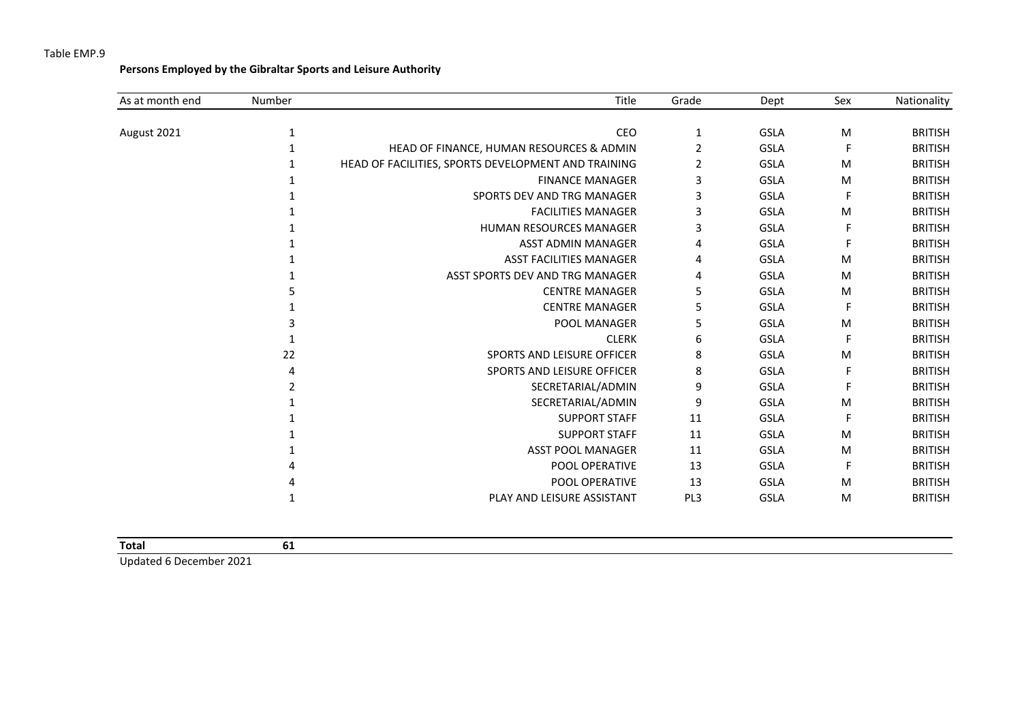**Persons Employed by the Gibraltar Sports and Leisure Authority**

| As at month end | Number | Title                                               | Grade | Dept        | Sex | Nationality    |
|-----------------|--------|-----------------------------------------------------|-------|-------------|-----|----------------|
|                 |        | CEO                                                 |       | <b>GSLA</b> | M   | <b>BRITISH</b> |
| August 2021     |        |                                                     | 1     |             |     |                |
|                 |        | HEAD OF FINANCE, HUMAN RESOURCES & ADMIN            | 2     | <b>GSLA</b> | F   | <b>BRITISH</b> |
|                 |        | HEAD OF FACILITIES, SPORTS DEVELOPMENT AND TRAINING | 2     | <b>GSLA</b> | M   | <b>BRITISH</b> |
|                 |        | <b>FINANCE MANAGER</b>                              | 3     | <b>GSLA</b> | M   | <b>BRITISH</b> |
|                 |        | SPORTS DEV AND TRG MANAGER                          | 3     | GSLA        | F   | <b>BRITISH</b> |
|                 |        | <b>FACILITIES MANAGER</b>                           | 3     | GSLA        | M   | <b>BRITISH</b> |
|                 |        | <b>HUMAN RESOURCES MANAGER</b>                      | 3     | <b>GSLA</b> | F   | <b>BRITISH</b> |
|                 |        | ASST ADMIN MANAGER                                  | 4     | <b>GSLA</b> |     | <b>BRITISH</b> |
|                 |        | <b>ASST FACILITIES MANAGER</b>                      | 4     | <b>GSLA</b> | M   | <b>BRITISH</b> |
|                 |        | ASST SPORTS DEV AND TRG MANAGER                     | 4     | <b>GSLA</b> | M   | <b>BRITISH</b> |
|                 |        | <b>CENTRE MANAGER</b>                               | 5     | <b>GSLA</b> | M   | <b>BRITISH</b> |
|                 |        | <b>CENTRE MANAGER</b>                               | 5     | <b>GSLA</b> | F   | <b>BRITISH</b> |
|                 |        | POOL MANAGER                                        | 5     | GSLA        | M   | <b>BRITISH</b> |
|                 |        | <b>CLERK</b>                                        | 6     | <b>GSLA</b> | F   | <b>BRITISH</b> |
|                 | 22     | SPORTS AND LEISURE OFFICER                          | 8     | <b>GSLA</b> | M   | <b>BRITISH</b> |
|                 | 4      | SPORTS AND LEISURE OFFICER                          | 8     | <b>GSLA</b> | F   | <b>BRITISH</b> |
|                 |        | SECRETARIAL/ADMIN                                   | 9     | <b>GSLA</b> | F   | <b>BRITISH</b> |
|                 |        | SECRETARIAL/ADMIN                                   | 9     | <b>GSLA</b> | M   | <b>BRITISH</b> |
|                 |        | <b>SUPPORT STAFF</b>                                | 11    | <b>GSLA</b> | F   | <b>BRITISH</b> |
|                 |        | <b>SUPPORT STAFF</b>                                | 11    | <b>GSLA</b> | M   | <b>BRITISH</b> |
|                 |        | <b>ASST POOL MANAGER</b>                            | 11    | <b>GSLA</b> | M   | <b>BRITISH</b> |
|                 |        | POOL OPERATIVE                                      | 13    | <b>GSLA</b> | F.  | <b>BRITISH</b> |
|                 |        | POOL OPERATIVE                                      | 13    | <b>GSLA</b> | M   | <b>BRITISH</b> |
|                 |        | PLAY AND LEISURE ASSISTANT                          | PL3   | <b>GSLA</b> | M   | <b>BRITISH</b> |

| <b>Total</b> | ∽<br>. .<br>$-$ |
|--------------|-----------------|
|              |                 |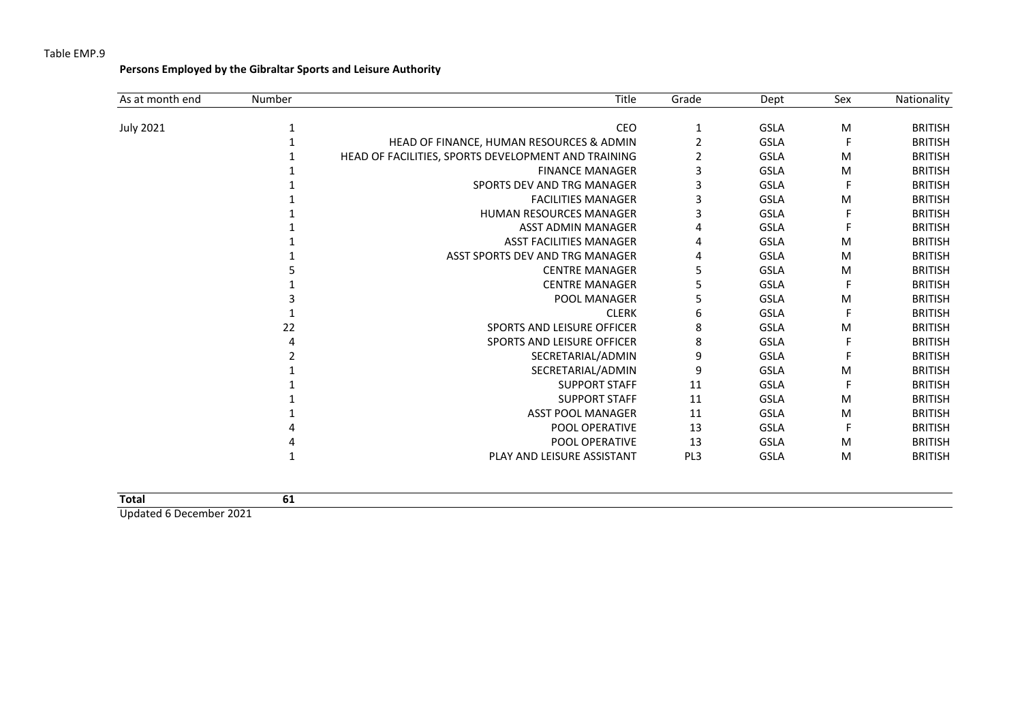**Persons Employed by the Gibraltar Sports and Leisure Authority**

| As at month end  | Number | <b>Title</b>                                        | Grade           | Dept        | Sex | Nationality    |
|------------------|--------|-----------------------------------------------------|-----------------|-------------|-----|----------------|
| <b>July 2021</b> |        | CEO                                                 |                 | <b>GSLA</b> | M   | <b>BRITISH</b> |
|                  |        | HEAD OF FINANCE, HUMAN RESOURCES & ADMIN            |                 | <b>GSLA</b> |     | <b>BRITISH</b> |
|                  |        | HEAD OF FACILITIES, SPORTS DEVELOPMENT AND TRAINING |                 | <b>GSLA</b> | M   | <b>BRITISH</b> |
|                  |        | <b>FINANCE MANAGER</b>                              | 3               | <b>GSLA</b> | M   | <b>BRITISH</b> |
|                  |        | SPORTS DEV AND TRG MANAGER                          |                 | <b>GSLA</b> | F   | <b>BRITISH</b> |
|                  |        | <b>FACILITIES MANAGER</b>                           |                 | <b>GSLA</b> | M   | <b>BRITISH</b> |
|                  |        | <b>HUMAN RESOURCES MANAGER</b>                      | з               | <b>GSLA</b> |     | <b>BRITISH</b> |
|                  |        | <b>ASST ADMIN MANAGER</b>                           |                 | <b>GSLA</b> |     | <b>BRITISH</b> |
|                  |        | <b>ASST FACILITIES MANAGER</b>                      |                 | GSLA        | M   | <b>BRITISH</b> |
|                  |        | ASST SPORTS DEV AND TRG MANAGER                     | 4               | <b>GSLA</b> | M   | <b>BRITISH</b> |
|                  |        | <b>CENTRE MANAGER</b>                               | 5               | <b>GSLA</b> | M   | <b>BRITISH</b> |
|                  |        | <b>CENTRE MANAGER</b>                               | 5               | <b>GSLA</b> | F   | <b>BRITISH</b> |
|                  |        | <b>POOL MANAGER</b>                                 | 5               | <b>GSLA</b> | M   | <b>BRITISH</b> |
|                  |        | <b>CLERK</b>                                        | 6               | <b>GSLA</b> |     | <b>BRITISH</b> |
|                  | 22     | SPORTS AND LEISURE OFFICER                          | 8               | <b>GSLA</b> | M   | <b>BRITISH</b> |
|                  | 4      | SPORTS AND LEISURE OFFICER                          | 8               | <b>GSLA</b> |     | <b>BRITISH</b> |
|                  |        | SECRETARIAL/ADMIN                                   | 9               | <b>GSLA</b> |     | <b>BRITISH</b> |
|                  |        | SECRETARIAL/ADMIN                                   | 9               | <b>GSLA</b> | M   | <b>BRITISH</b> |
|                  |        | <b>SUPPORT STAFF</b>                                | 11              | <b>GSLA</b> |     | <b>BRITISH</b> |
|                  |        | <b>SUPPORT STAFF</b>                                | 11              | <b>GSLA</b> | M   | <b>BRITISH</b> |
|                  |        | <b>ASST POOL MANAGER</b>                            | 11              | <b>GSLA</b> | M   | <b>BRITISH</b> |
|                  |        | POOL OPERATIVE                                      | 13              | <b>GSLA</b> | F   | <b>BRITISH</b> |
|                  |        | POOL OPERATIVE                                      | 13              | <b>GSLA</b> | M   | <b>BRITISH</b> |
|                  |        | PLAY AND LEISURE ASSISTANT                          | PL <sub>3</sub> | <b>GSLA</b> | M   | <b>BRITISH</b> |

| <b>Total</b>                 | ັບ⊥ |
|------------------------------|-----|
| <b>Hadden Francisco A004</b> |     |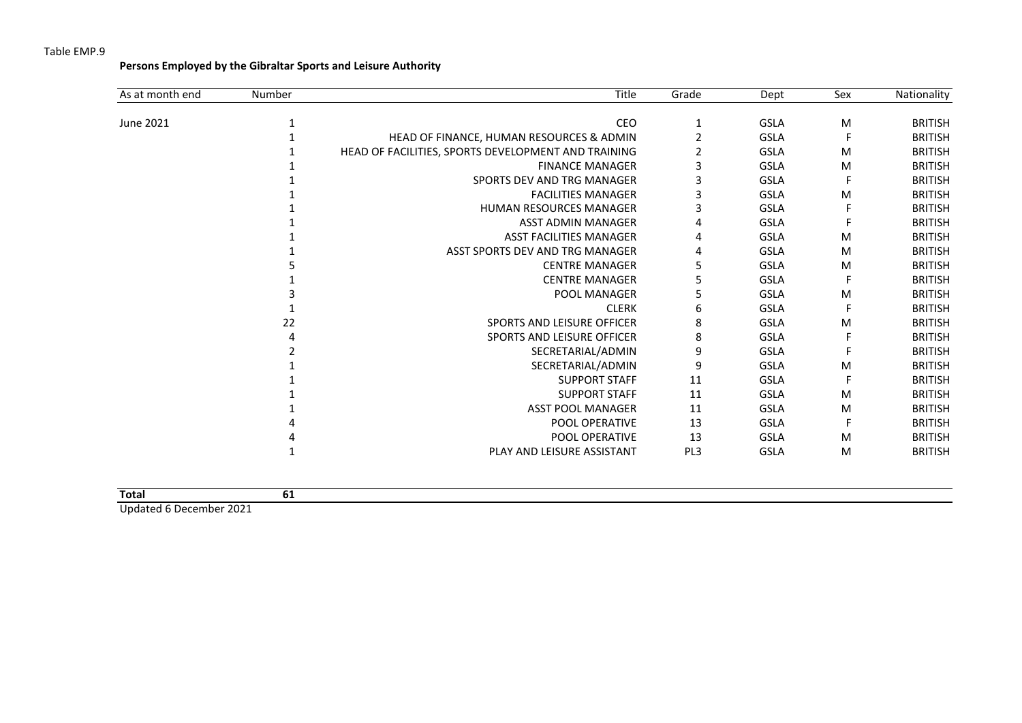**Persons Employed by the Gibraltar Sports and Leisure Authority**

| As at month end | Number | <b>Title</b>                                        | Grade | Dept        | Sex | Nationality    |
|-----------------|--------|-----------------------------------------------------|-------|-------------|-----|----------------|
| June 2021       |        | CEO                                                 |       | <b>GSLA</b> | M   | <b>BRITISH</b> |
|                 |        | HEAD OF FINANCE, HUMAN RESOURCES & ADMIN            |       | <b>GSLA</b> |     | <b>BRITISH</b> |
|                 |        | HEAD OF FACILITIES, SPORTS DEVELOPMENT AND TRAINING |       | <b>GSLA</b> | M   | <b>BRITISH</b> |
|                 |        | <b>FINANCE MANAGER</b>                              | 3     | GSLA        | M   | <b>BRITISH</b> |
|                 |        | SPORTS DEV AND TRG MANAGER                          | з     | <b>GSLA</b> |     | <b>BRITISH</b> |
|                 |        | <b>FACILITIES MANAGER</b>                           | 3     | <b>GSLA</b> | M   | <b>BRITISH</b> |
|                 |        | <b>HUMAN RESOURCES MANAGER</b>                      | 3     | <b>GSLA</b> |     | <b>BRITISH</b> |
|                 |        | <b>ASST ADMIN MANAGER</b>                           |       | GSLA        |     | <b>BRITISH</b> |
|                 |        | <b>ASST FACILITIES MANAGER</b>                      | 4     | <b>GSLA</b> | M   | <b>BRITISH</b> |
|                 |        | ASST SPORTS DEV AND TRG MANAGER                     | 4     | <b>GSLA</b> | M   | <b>BRITISH</b> |
|                 |        | <b>CENTRE MANAGER</b>                               | 5     | <b>GSLA</b> | M   | <b>BRITISH</b> |
|                 |        | <b>CENTRE MANAGER</b>                               | 5     | <b>GSLA</b> | F   | <b>BRITISH</b> |
|                 |        | <b>POOL MANAGER</b>                                 | 5     | <b>GSLA</b> | M   | <b>BRITISH</b> |
|                 |        | <b>CLERK</b>                                        | 6     | <b>GSLA</b> |     | <b>BRITISH</b> |
|                 | 22     | SPORTS AND LEISURE OFFICER                          | 8     | <b>GSLA</b> | M   | <b>BRITISH</b> |
|                 |        | <b>SPORTS AND LEISURE OFFICER</b>                   | 8     | <b>GSLA</b> |     | <b>BRITISH</b> |
|                 |        | SECRETARIAL/ADMIN                                   | 9     | <b>GSLA</b> |     | <b>BRITISH</b> |
|                 |        | SECRETARIAL/ADMIN                                   | 9     | <b>GSLA</b> | M   | <b>BRITISH</b> |
|                 |        | <b>SUPPORT STAFF</b>                                | 11    | <b>GSLA</b> |     | <b>BRITISH</b> |
|                 |        | <b>SUPPORT STAFF</b>                                | 11    | <b>GSLA</b> | M   | <b>BRITISH</b> |
|                 |        | <b>ASST POOL MANAGER</b>                            | 11    | <b>GSLA</b> | M   | <b>BRITISH</b> |
|                 |        | POOL OPERATIVE                                      | 13    | <b>GSLA</b> |     | <b>BRITISH</b> |
|                 |        | POOL OPERATIVE                                      | 13    | <b>GSLA</b> | M   | <b>BRITISH</b> |
|                 |        | PLAY AND LEISURE ASSISTANT                          | PL3   | <b>GSLA</b> | M   | <b>BRITISH</b> |

| <b>Total</b>              |  |  |  |
|---------------------------|--|--|--|
| Undetail C. Desamber 2021 |  |  |  |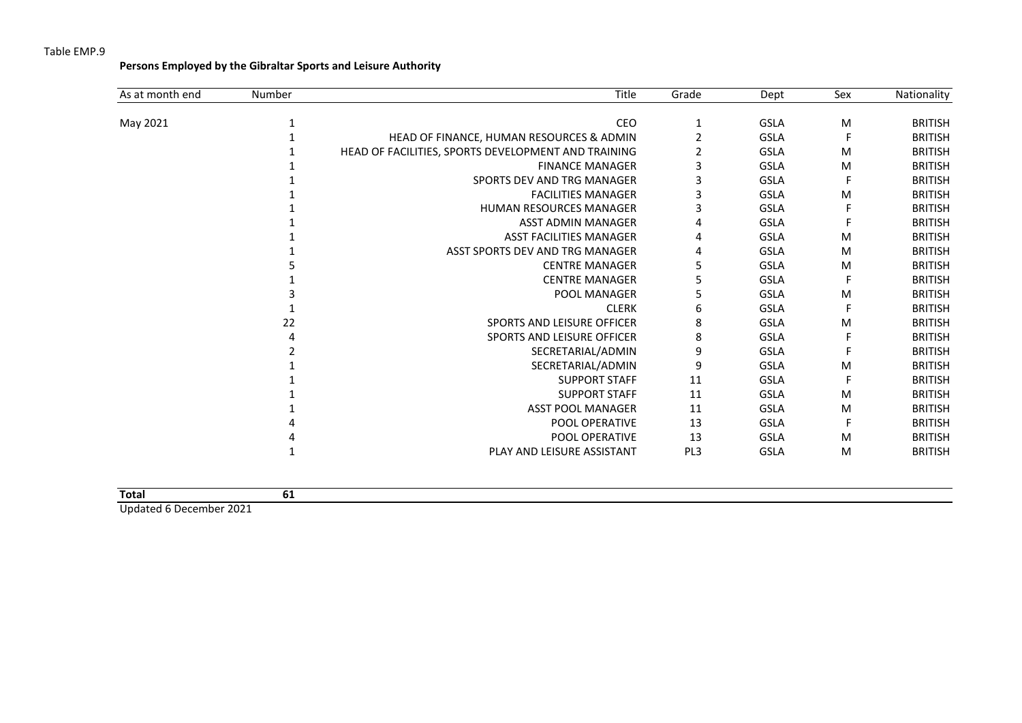**Persons Employed by the Gibraltar Sports and Leisure Authority**

| As at month end | Number | <b>Title</b>                                        | Grade           | Dept        | Sex | Nationality    |
|-----------------|--------|-----------------------------------------------------|-----------------|-------------|-----|----------------|
| May 2021        |        | CEO                                                 |                 | <b>GSLA</b> | M   | <b>BRITISH</b> |
|                 |        | HEAD OF FINANCE, HUMAN RESOURCES & ADMIN            |                 | GSLA        |     | <b>BRITISH</b> |
|                 |        | HEAD OF FACILITIES, SPORTS DEVELOPMENT AND TRAINING |                 | <b>GSLA</b> | M   | <b>BRITISH</b> |
|                 |        | <b>FINANCE MANAGER</b>                              | 3               | <b>GSLA</b> | M   | <b>BRITISH</b> |
|                 |        | SPORTS DEV AND TRG MANAGER                          | з               | <b>GSLA</b> |     | <b>BRITISH</b> |
|                 |        | <b>FACILITIES MANAGER</b>                           |                 | <b>GSLA</b> | M   | <b>BRITISH</b> |
|                 |        | <b>HUMAN RESOURCES MANAGER</b>                      | 3               | <b>GSLA</b> |     | <b>BRITISH</b> |
|                 |        | <b>ASST ADMIN MANAGER</b>                           |                 | <b>GSLA</b> |     | <b>BRITISH</b> |
|                 |        | <b>ASST FACILITIES MANAGER</b>                      |                 | <b>GSLA</b> | M   | <b>BRITISH</b> |
|                 |        | ASST SPORTS DEV AND TRG MANAGER                     | 4               | <b>GSLA</b> | M   | <b>BRITISH</b> |
|                 |        | <b>CENTRE MANAGER</b>                               | 5               | <b>GSLA</b> | M   | <b>BRITISH</b> |
|                 |        | <b>CENTRE MANAGER</b>                               | 5               | <b>GSLA</b> | F   | <b>BRITISH</b> |
|                 |        | POOL MANAGER                                        | 5               | <b>GSLA</b> | M   | <b>BRITISH</b> |
|                 |        | <b>CLERK</b>                                        | 6               | <b>GSLA</b> |     | <b>BRITISH</b> |
|                 | 22     | SPORTS AND LEISURE OFFICER                          | 8               | <b>GSLA</b> | M   | <b>BRITISH</b> |
|                 |        | <b>SPORTS AND LEISURE OFFICER</b>                   | 8               | <b>GSLA</b> |     | <b>BRITISH</b> |
|                 |        | SECRETARIAL/ADMIN                                   | 9               | <b>GSLA</b> |     | <b>BRITISH</b> |
|                 |        | SECRETARIAL/ADMIN                                   | 9               | <b>GSLA</b> | M   | <b>BRITISH</b> |
|                 |        | <b>SUPPORT STAFF</b>                                | 11              | <b>GSLA</b> |     | <b>BRITISH</b> |
|                 |        | <b>SUPPORT STAFF</b>                                | 11              | <b>GSLA</b> | M   | <b>BRITISH</b> |
|                 |        | <b>ASST POOL MANAGER</b>                            | 11              | <b>GSLA</b> | M   | <b>BRITISH</b> |
|                 |        | POOL OPERATIVE                                      | 13              | <b>GSLA</b> |     | <b>BRITISH</b> |
|                 |        | POOL OPERATIVE                                      | 13              | <b>GSLA</b> | M   | <b>BRITISH</b> |
|                 |        | PLAY AND LEISURE ASSISTANT                          | PL <sub>3</sub> | <b>GSLA</b> | M   | <b>BRITISH</b> |

| <b>Total</b>                   |  |  |  |
|--------------------------------|--|--|--|
| <b>Undated C December 2021</b> |  |  |  |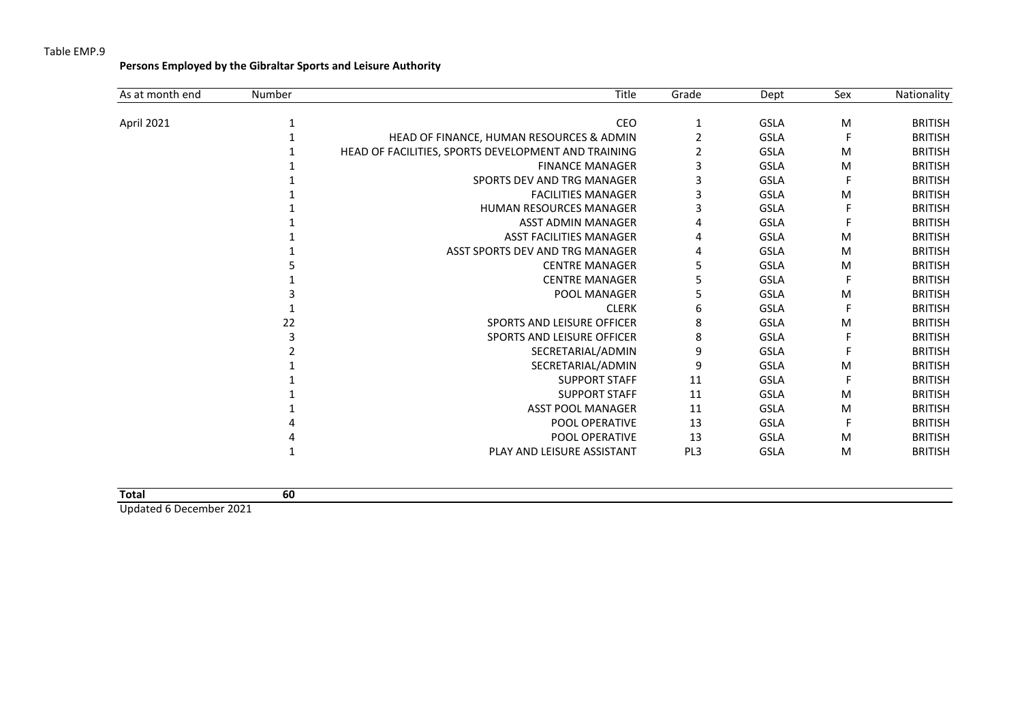**Persons Employed by the Gibraltar Sports and Leisure Authority**

| As at month end | Number | Title                                               | Grade           | Dept        | Sex | Nationality    |
|-----------------|--------|-----------------------------------------------------|-----------------|-------------|-----|----------------|
| April 2021      |        | CEO                                                 |                 | <b>GSLA</b> | M   | <b>BRITISH</b> |
|                 |        | HEAD OF FINANCE, HUMAN RESOURCES & ADMIN            |                 | <b>GSLA</b> |     | <b>BRITISH</b> |
|                 |        | HEAD OF FACILITIES, SPORTS DEVELOPMENT AND TRAINING |                 | <b>GSLA</b> | M   | <b>BRITISH</b> |
|                 |        | <b>FINANCE MANAGER</b>                              |                 | <b>GSLA</b> | M   | <b>BRITISH</b> |
|                 |        | SPORTS DEV AND TRG MANAGER                          | 3               | <b>GSLA</b> |     | <b>BRITISH</b> |
|                 |        | <b>FACILITIES MANAGER</b>                           | 3               | <b>GSLA</b> | M   | <b>BRITISH</b> |
|                 |        | <b>HUMAN RESOURCES MANAGER</b>                      | 3               | <b>GSLA</b> |     | <b>BRITISH</b> |
|                 |        | <b>ASST ADMIN MANAGER</b>                           | 4               | <b>GSLA</b> |     | <b>BRITISH</b> |
|                 |        | <b>ASST FACILITIES MANAGER</b>                      | 4               | <b>GSLA</b> | M   | <b>BRITISH</b> |
|                 |        | ASST SPORTS DEV AND TRG MANAGER                     | 4               | <b>GSLA</b> | M   | <b>BRITISH</b> |
|                 |        | <b>CENTRE MANAGER</b>                               | 5               | <b>GSLA</b> | M   | <b>BRITISH</b> |
|                 |        | <b>CENTRE MANAGER</b>                               | 5               | <b>GSLA</b> |     | <b>BRITISH</b> |
|                 |        | <b>POOL MANAGER</b>                                 | 5               | <b>GSLA</b> | M   | <b>BRITISH</b> |
|                 |        | <b>CLERK</b>                                        | 6               | <b>GSLA</b> |     | <b>BRITISH</b> |
|                 | 22     | SPORTS AND LEISURE OFFICER                          | 8               | <b>GSLA</b> | M   | <b>BRITISH</b> |
|                 | 3      | <b>SPORTS AND LEISURE OFFICER</b>                   | 8               | <b>GSLA</b> |     | <b>BRITISH</b> |
|                 |        | SECRETARIAL/ADMIN                                   | 9               | <b>GSLA</b> |     | <b>BRITISH</b> |
|                 |        | SECRETARIAL/ADMIN                                   | 9               | <b>GSLA</b> | M   | <b>BRITISH</b> |
|                 |        | <b>SUPPORT STAFF</b>                                | 11              | <b>GSLA</b> |     | <b>BRITISH</b> |
|                 |        | <b>SUPPORT STAFF</b>                                | 11              | <b>GSLA</b> | M   | <b>BRITISH</b> |
|                 |        | <b>ASST POOL MANAGER</b>                            | 11              | <b>GSLA</b> | M   | <b>BRITISH</b> |
|                 |        | POOL OPERATIVE                                      | 13              | <b>GSLA</b> |     | <b>BRITISH</b> |
|                 |        | POOL OPERATIVE                                      | 13              | <b>GSLA</b> | M   | <b>BRITISH</b> |
|                 |        | PLAY AND LEISURE ASSISTANT                          | PL <sub>3</sub> | <b>GSLA</b> | M   | <b>BRITISH</b> |

| <b>Total</b>               | ы      |  |  |
|----------------------------|--------|--|--|
| <b>Ilndated 6 December</b> | ∍ הרחר |  |  |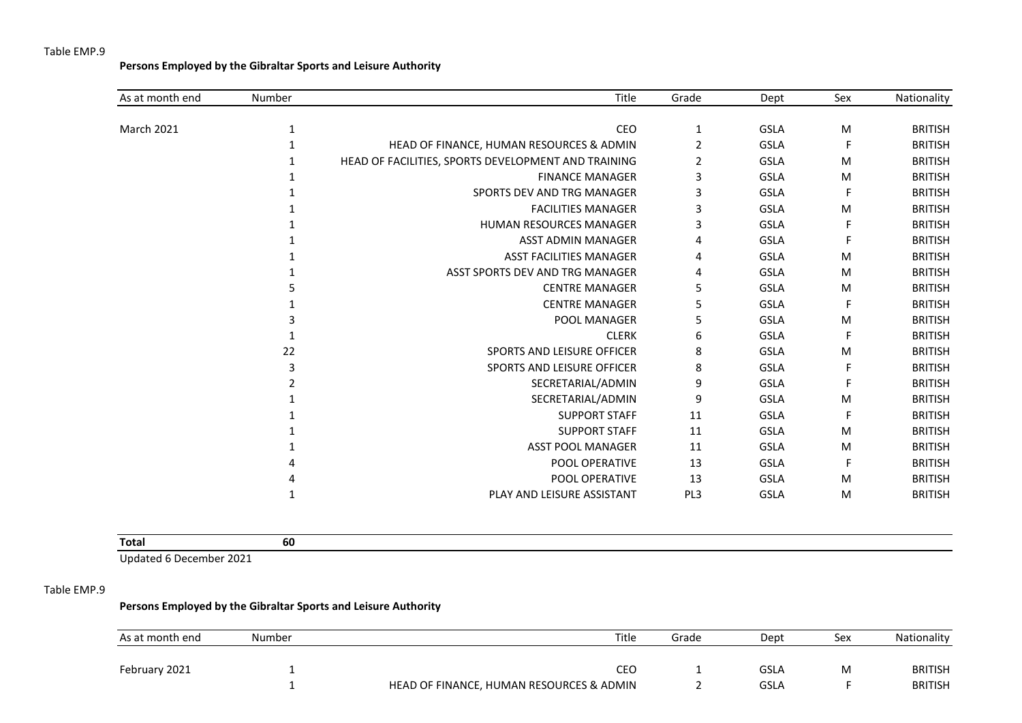**Persons Employed by the Gibraltar Sports and Leisure Authority**

| As at month end | Number | Title                                               | Grade | Dept        | Sex | Nationality    |
|-----------------|--------|-----------------------------------------------------|-------|-------------|-----|----------------|
| March 2021      | 1      | CEO                                                 | 1     | <b>GSLA</b> | M   | <b>BRITISH</b> |
|                 |        | HEAD OF FINANCE, HUMAN RESOURCES & ADMIN            | 2     | <b>GSLA</b> | F   | <b>BRITISH</b> |
|                 |        | HEAD OF FACILITIES, SPORTS DEVELOPMENT AND TRAINING | 2     | <b>GSLA</b> | M   | <b>BRITISH</b> |
|                 |        | <b>FINANCE MANAGER</b>                              | 3     |             |     |                |
|                 |        |                                                     |       | <b>GSLA</b> | M   | <b>BRITISH</b> |
|                 |        | SPORTS DEV AND TRG MANAGER                          | 3     | <b>GSLA</b> | F   | <b>BRITISH</b> |
|                 |        | <b>FACILITIES MANAGER</b>                           | 3     | <b>GSLA</b> | M   | <b>BRITISH</b> |
|                 |        | <b>HUMAN RESOURCES MANAGER</b>                      | 3     | <b>GSLA</b> | F   | <b>BRITISH</b> |
|                 |        | ASST ADMIN MANAGER                                  | 4     | <b>GSLA</b> | F   | <b>BRITISH</b> |
|                 |        | <b>ASST FACILITIES MANAGER</b>                      | 4     | <b>GSLA</b> | M   | <b>BRITISH</b> |
|                 |        | ASST SPORTS DEV AND TRG MANAGER                     | 4     | <b>GSLA</b> | M   | <b>BRITISH</b> |
|                 | 5      | <b>CENTRE MANAGER</b>                               | 5     | <b>GSLA</b> | M   | <b>BRITISH</b> |
|                 |        | <b>CENTRE MANAGER</b>                               | 5     | <b>GSLA</b> | F   | <b>BRITISH</b> |
|                 |        | POOL MANAGER                                        | 5     | <b>GSLA</b> | M   | <b>BRITISH</b> |
|                 |        | <b>CLERK</b>                                        | 6     | <b>GSLA</b> | F   | <b>BRITISH</b> |
|                 | 22     | <b>SPORTS AND LEISURE OFFICER</b>                   | 8     | <b>GSLA</b> | M   | <b>BRITISH</b> |
|                 | 3      | SPORTS AND LEISURE OFFICER                          | 8     | <b>GSLA</b> | F   | <b>BRITISH</b> |
|                 |        | SECRETARIAL/ADMIN                                   | 9     | <b>GSLA</b> |     | <b>BRITISH</b> |
|                 |        | SECRETARIAL/ADMIN                                   | 9     | <b>GSLA</b> | M   | <b>BRITISH</b> |
|                 |        | <b>SUPPORT STAFF</b>                                | 11    | <b>GSLA</b> | F   | <b>BRITISH</b> |
|                 |        | <b>SUPPORT STAFF</b>                                | 11    | <b>GSLA</b> | M   | <b>BRITISH</b> |
|                 |        | <b>ASST POOL MANAGER</b>                            | 11    | <b>GSLA</b> | M   | <b>BRITISH</b> |
|                 |        | POOL OPERATIVE                                      | 13    | <b>GSLA</b> | F   | <b>BRITISH</b> |
|                 |        | POOL OPERATIVE                                      | 13    | <b>GSLA</b> | M   | <b>BRITISH</b> |
|                 |        | PLAY AND LEISURE ASSISTANT                          | PL3   | <b>GSLA</b> | M   | <b>BRITISH</b> |
|                 |        |                                                     |       |             |     |                |

| <b>Total</b> | ou |  |  |  |
|--------------|----|--|--|--|
|              |    |  |  |  |

Updated 6 December 2021

#### Table EMP.9

## **Persons Employed by the Gibraltar Sports and Leisure Authority**

| As at month end | Number | Title                                    | Grade | Dept | Sex | Nationality    |
|-----------------|--------|------------------------------------------|-------|------|-----|----------------|
|                 |        |                                          |       |      |     |                |
| February 2021   |        | CEC                                      |       | GSLA | M   | <b>BRITISH</b> |
|                 |        | HEAD OF FINANCE, HUMAN RESOURCES & ADMIN |       | GSLA |     | <b>BRITISH</b> |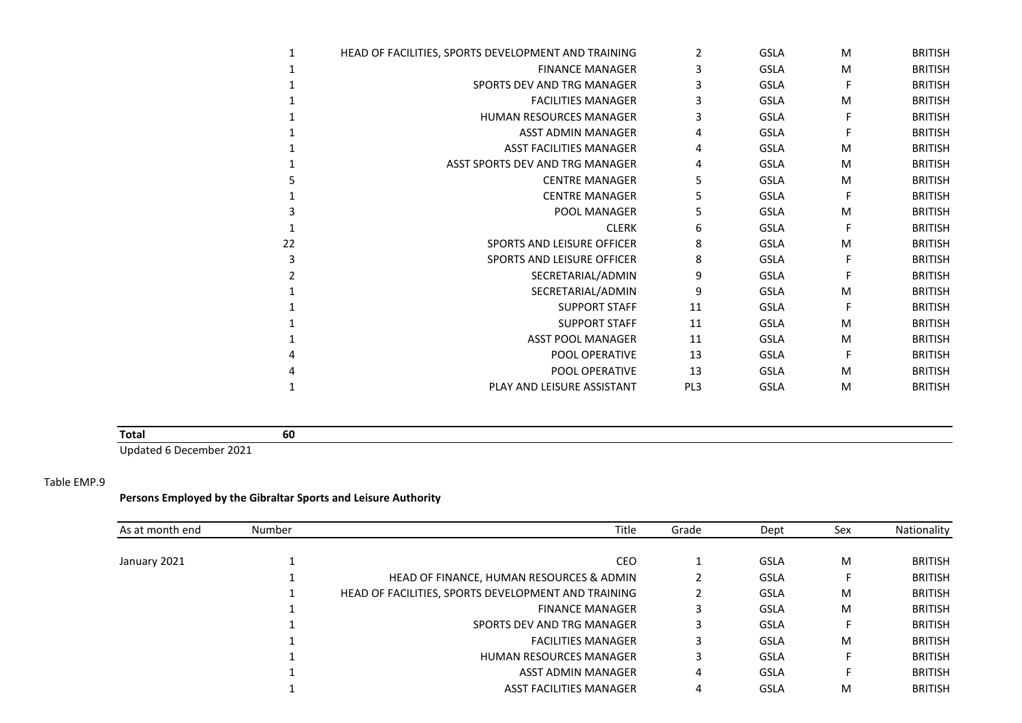| 1  | HEAD OF FACILITIES, SPORTS DEVELOPMENT AND TRAINING | 2               | <b>GSLA</b> | M | <b>BRITISH</b> |
|----|-----------------------------------------------------|-----------------|-------------|---|----------------|
|    | <b>FINANCE MANAGER</b>                              | 3               | <b>GSLA</b> | M | <b>BRITISH</b> |
|    | SPORTS DEV AND TRG MANAGER                          | 3               | <b>GSLA</b> | F | <b>BRITISH</b> |
|    | <b>FACILITIES MANAGER</b>                           |                 | <b>GSLA</b> | M | <b>BRITISH</b> |
|    | <b>HUMAN RESOURCES MANAGER</b>                      | 3               | <b>GSLA</b> | F | <b>BRITISH</b> |
|    | <b>ASST ADMIN MANAGER</b>                           | 4               | <b>GSLA</b> | F | <b>BRITISH</b> |
|    | <b>ASST FACILITIES MANAGER</b>                      | 4               | <b>GSLA</b> | M | <b>BRITISH</b> |
|    | ASST SPORTS DEV AND TRG MANAGER                     | 4               | <b>GSLA</b> | M | <b>BRITISH</b> |
|    | <b>CENTRE MANAGER</b>                               | 5               | <b>GSLA</b> | M | <b>BRITISH</b> |
|    | <b>CENTRE MANAGER</b>                               | 5               | <b>GSLA</b> | F | <b>BRITISH</b> |
|    | POOL MANAGER                                        |                 | <b>GSLA</b> | M | <b>BRITISH</b> |
|    | <b>CLERK</b>                                        | 6               | <b>GSLA</b> | F | <b>BRITISH</b> |
| 22 | SPORTS AND LEISURE OFFICER                          | 8               | <b>GSLA</b> | M | <b>BRITISH</b> |
| 3  | SPORTS AND LEISURE OFFICER                          | 8               | <b>GSLA</b> | F | <b>BRITISH</b> |
|    | SECRETARIAL/ADMIN                                   | 9               | <b>GSLA</b> | F | <b>BRITISH</b> |
|    | SECRETARIAL/ADMIN                                   | 9               | <b>GSLA</b> | M | <b>BRITISH</b> |
|    | <b>SUPPORT STAFF</b>                                | 11              | <b>GSLA</b> | F | <b>BRITISH</b> |
|    | <b>SUPPORT STAFF</b>                                | 11              | <b>GSLA</b> | M | <b>BRITISH</b> |
|    | <b>ASST POOL MANAGER</b>                            | 11              | <b>GSLA</b> | M | <b>BRITISH</b> |
|    | <b>POOL OPERATIVE</b>                               | 13              | <b>GSLA</b> | F | <b>BRITISH</b> |
|    | <b>POOL OPERATIVE</b>                               | 13              | <b>GSLA</b> | M | <b>BRITISH</b> |
|    | PLAY AND LEISURE ASSISTANT                          | PL <sub>3</sub> | <b>GSLA</b> | M | <b>BRITISH</b> |
|    |                                                     |                 |             |   |                |

# **Total 60**

Updated 6 December 2021

#### Table EMP.9

### **Persons Employed by the Gibraltar Sports and Leisure Authority**

| As at month end | Number | Title                                               | Grade | Dept        | Sex | Nationality    |
|-----------------|--------|-----------------------------------------------------|-------|-------------|-----|----------------|
|                 |        |                                                     |       |             |     |                |
| January 2021    |        | CEO                                                 |       | GSLA        | M   | <b>BRITISH</b> |
|                 |        | HEAD OF FINANCE, HUMAN RESOURCES & ADMIN            |       | <b>GSLA</b> | F   | <b>BRITISH</b> |
|                 |        | HEAD OF FACILITIES, SPORTS DEVELOPMENT AND TRAINING |       | <b>GSLA</b> | M   | <b>BRITISH</b> |
|                 |        | <b>FINANCE MANAGER</b>                              |       | <b>GSLA</b> | M   | <b>BRITISH</b> |
|                 |        | SPORTS DEV AND TRG MANAGER                          |       | <b>GSLA</b> | F   | <b>BRITISH</b> |
|                 |        | <b>FACILITIES MANAGER</b>                           |       | <b>GSLA</b> | M   | <b>BRITISH</b> |
|                 |        | <b>HUMAN RESOURCES MANAGER</b>                      |       | <b>GSLA</b> | F   | <b>BRITISH</b> |
|                 |        | <b>ASST ADMIN MANAGER</b>                           | 4     | GSLA        | F   | <b>BRITISH</b> |
|                 |        | <b>ASST FACILITIES MANAGER</b>                      |       | <b>GSLA</b> | M   | <b>BRITISH</b> |